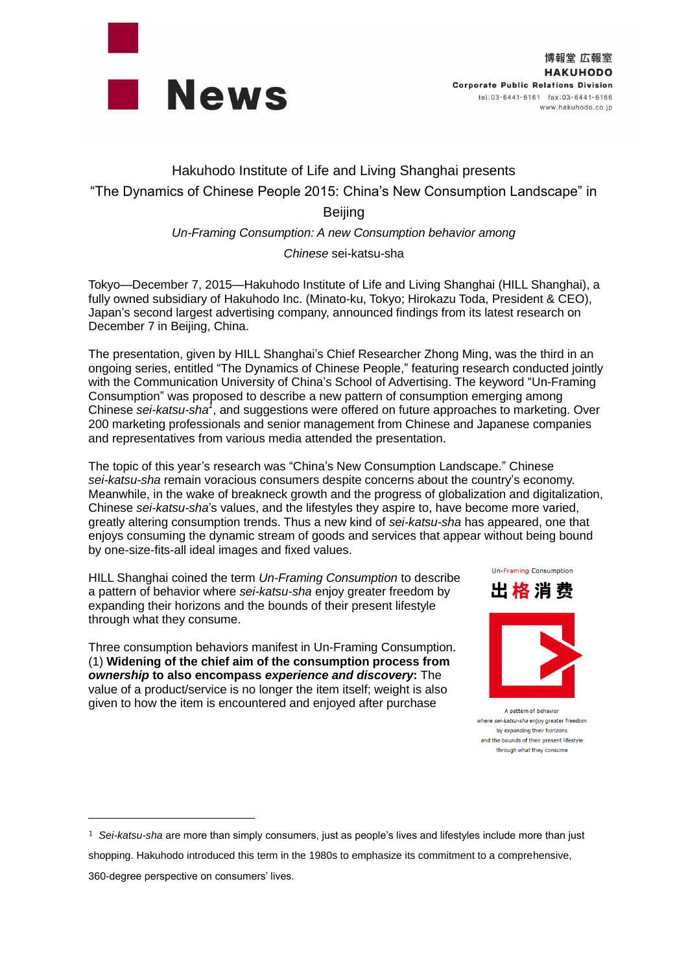

# Hakuhodo Institute of Life and Living Shanghai presents "The Dynamics of Chinese People 2015: China's New Consumption Landscape" in **Beijing**

## *Un-Framing Consumption: A new Consumption behavior among*

## *Chinese* sei-katsu-sha

Tokyo—December 7, 2015—Hakuhodo Institute of Life and Living Shanghai (HILL Shanghai), a fully owned subsidiary of Hakuhodo Inc. (Minato-ku, Tokyo; Hirokazu Toda, President & CEO), Japan's second largest advertising company, announced findings from its latest research on December 7 in Beijing, China.

The presentation, given by HILL Shanghai's Chief Researcher Zhong Ming, was the third in an ongoing series, entitled "The Dynamics of Chinese People," featuring research conducted jointly with the Communication University of China's School of Advertising. The keyword "Un-Framing Consumption" was proposed to describe a new pattern of consumption emerging among Chinese *sei-katsu-sha<sup>1</sup>* , and suggestions were offered on future approaches to marketing. Over 200 marketing professionals and senior management from Chinese and Japanese companies and representatives from various media attended the presentation.

The topic of this year's research was "China's New Consumption Landscape." Chinese *sei-katsu-sha* remain voracious consumers despite concerns about the country's economy. Meanwhile, in the wake of breakneck growth and the progress of globalization and digitalization, Chinese *sei-katsu-sha*'s values, and the lifestyles they aspire to, have become more varied, greatly altering consumption trends. Thus a new kind of *sei-katsu-sha* has appeared, one that enjoys consuming the dynamic stream of goods and services that appear without being bound by one-size-fits-all ideal images and fixed values.

HILL Shanghai coined the term *Un-Framing Consumption* to describe a pattern of behavior where *sei-katsu-sha* enjoy greater freedom by expanding their horizons and the bounds of their present lifestyle through what they consume.

Three consumption behaviors manifest in Un-Framing Consumption. (1) **Widening of the chief aim of the consumption process from** *ownership* **to also encompass** *experience and discovery***:** The value of a product/service is no longer the item itself; weight is also given to how the item is encountered and enjoyed after purchase

 $\overline{a}$ 

出 格 消 费

Un-Framing Consumption

A pattern of behavior where sei-katsu-sha enjoy greater freedom by expanding their horizons and the bounds of their present lifestyle through what they consume

<sup>1</sup> *Sei-katsu-sha* are more than simply consumers, just as people's lives and lifestyles include more than just shopping. Hakuhodo introduced this term in the 1980s to emphasize its commitment to a comprehensive, 360-degree perspective on consumers' lives.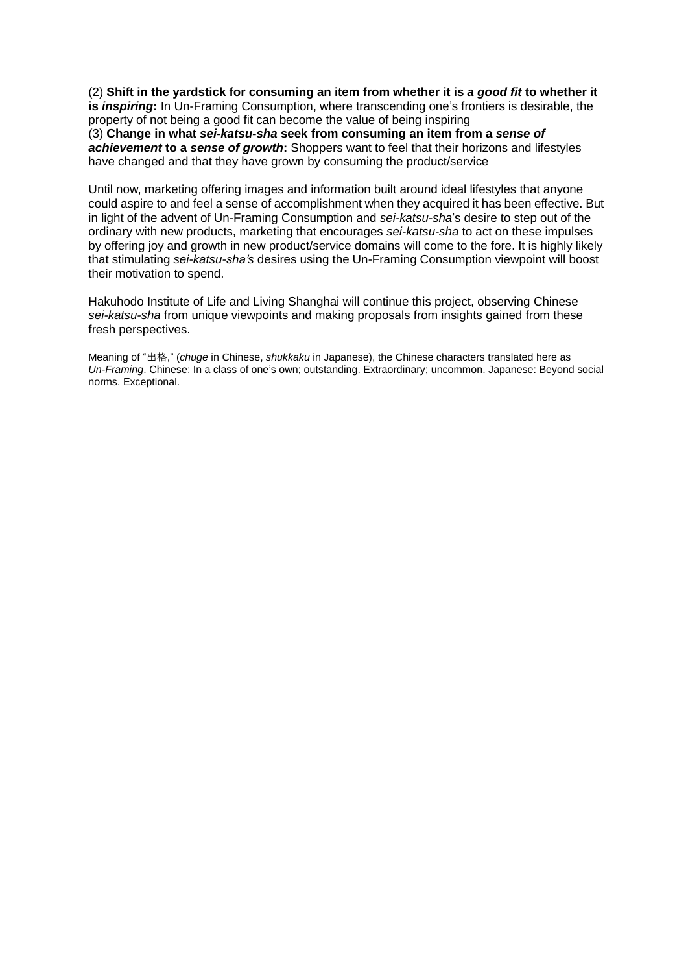(2) **Shift in the yardstick for consuming an item from whether it is** *a good fit* **to whether it is** *inspiring***:** In Un-Framing Consumption, where transcending one's frontiers is desirable, the

property of not being a good fit can become the value of being inspiring (3) **Change in what** *sei-katsu-sha* **seek from consuming an item from a** *sense of achievement* **to a** *sense of growth***:** Shoppers want to feel that their horizons and lifestyles have changed and that they have grown by consuming the product/service

Until now, marketing offering images and information built around ideal lifestyles that anyone could aspire to and feel a sense of accomplishment when they acquired it has been effective. But in light of the advent of Un-Framing Consumption and *sei-katsu-sha*'s desire to step out of the ordinary with new products, marketing that encourages *sei-katsu-sha* to act on these impulses by offering joy and growth in new product/service domains will come to the fore. It is highly likely that stimulating *sei-katsu-sha's* desires using the Un-Framing Consumption viewpoint will boost their motivation to spend.

Hakuhodo Institute of Life and Living Shanghai will continue this project, observing Chinese *sei-katsu-sha* from unique viewpoints and making proposals from insights gained from these fresh perspectives.

Meaning of "出格," (*chuge* in Chinese, *shukkaku* in Japanese), the Chinese characters translated here as *Un-Framing*. Chinese: In a class of one's own; outstanding. Extraordinary; uncommon. Japanese: Beyond social norms. Exceptional.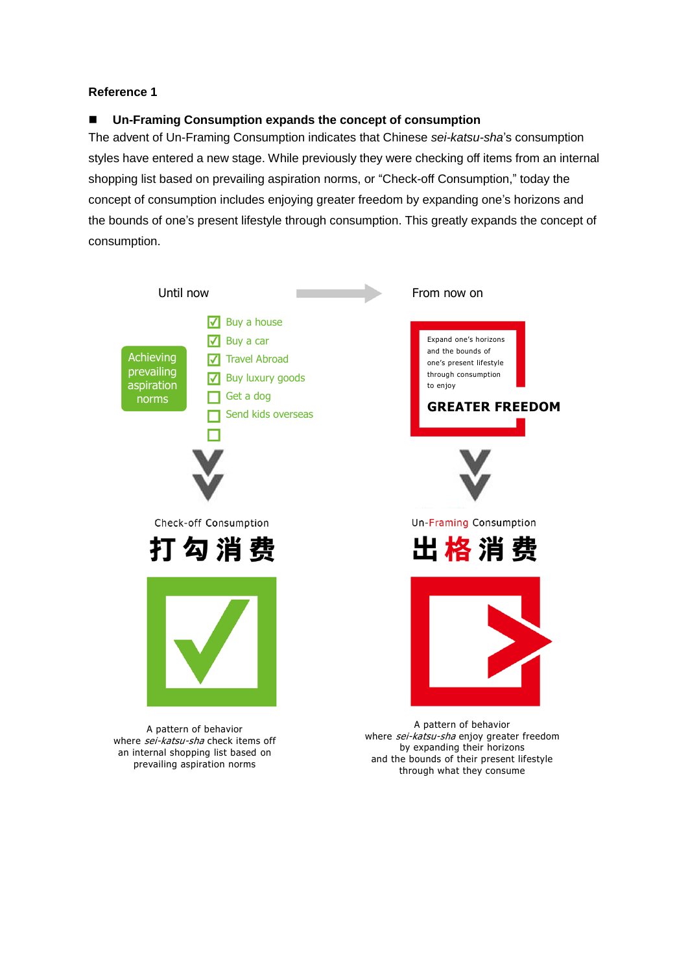# **Reference 1**

# **Un-Framing Consumption expands the concept of consumption**

The advent of Un-Framing Consumption indicates that Chinese *sei-katsu-sha*'s consumption styles have entered a new stage. While previously they were checking off items from an internal shopping list based on prevailing aspiration norms, or "Check-off Consumption," today the concept of consumption includes enjoying greater freedom by expanding one's horizons and the bounds of one's present lifestyle through consumption. This greatly expands the concept of consumption.



A pattern of behavior where sei-katsu-sha check items off an internal shopping list based on prevailing aspiration norms

A pattern of behavior where sei-katsu-sha enjoy greater freedom by expanding their horizons and the bounds of their present lifestyle through what they consume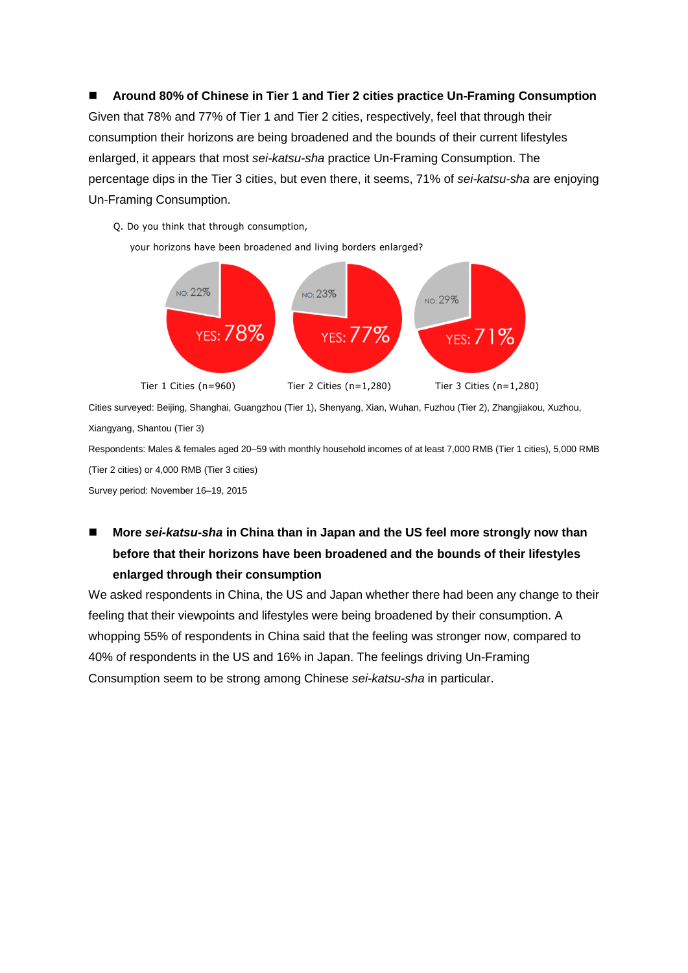**Around 80% of Chinese in Tier 1 and Tier 2 cities practice Un-Framing Consumption** Given that 78% and 77% of Tier 1 and Tier 2 cities, respectively, feel that through their consumption their horizons are being broadened and the bounds of their current lifestyles enlarged, it appears that most *sei-katsu-sha* practice Un-Framing Consumption. The percentage dips in the Tier 3 cities, but even there, it seems, 71% of *sei-katsu-sha* are enjoying Un-Framing Consumption.

Q. Do you think that through consumption,

your horizons have been broadened and living borders enlarged?



Cities surveyed: Beijing, Shanghai, Guangzhou (Tier 1), Shenyang, Xian, Wuhan, Fuzhou (Tier 2), Zhangjiakou, Xuzhou, Xiangyang, Shantou (Tier 3)

Respondents: Males & females aged 20–59 with monthly household incomes of at least 7,000 RMB (Tier 1 cities), 5,000 RMB (Tier 2 cities) or 4,000 RMB (Tier 3 cities)

Survey period: November 16–19, 2015

# ■ More sei-katsu-sha in China than in Japan and the US feel more strongly now than **before that their horizons have been broadened and the bounds of their lifestyles enlarged through their consumption**

We asked respondents in China, the US and Japan whether there had been any change to their feeling that their viewpoints and lifestyles were being broadened by their consumption. A whopping 55% of respondents in China said that the feeling was stronger now, compared to 40% of respondents in the US and 16% in Japan. The feelings driving Un-Framing Consumption seem to be strong among Chinese *sei-katsu-sha* in particular.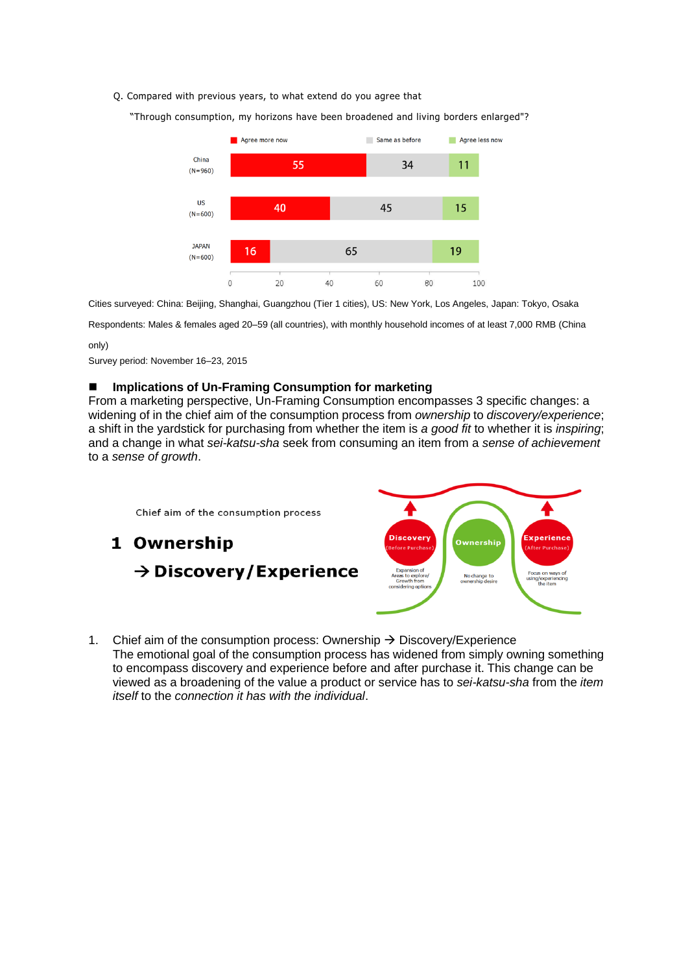#### Q. Compared with previous years, to what extend do you agree that

"Through consumption, my horizons have been broadened and living borders enlarged"?



Cities surveyed: China: Beijing, Shanghai, Guangzhou (Tier 1 cities), US: New York, Los Angeles, Japan: Tokyo, Osaka

Respondents: Males & females aged 20–59 (all countries), with monthly household incomes of at least 7,000 RMB (China

#### only)

Survey period: November 16–23, 2015

#### **Implications of Un-Framing Consumption for marketing**

From a marketing perspective, Un-Framing Consumption encompasses 3 specific changes: a widening of in the chief aim of the consumption process from *ownership* to *discovery/experience*; a shift in the yardstick for purchasing from whether the item is *a good fit* to whether it is *inspiring*; and a change in what *sei-katsu-sha* seek from consuming an item from a *sense of achievement* to a *sense of growth*.



1. Chief aim of the consumption process: Ownership  $\rightarrow$  Discovery/Experience The emotional goal of the consumption process has widened from simply owning something to encompass discovery and experience before and after purchase it. This change can be viewed as a broadening of the value a product or service has to *sei-katsu-sha* from the *item itself* to the *connection it has with the individual*.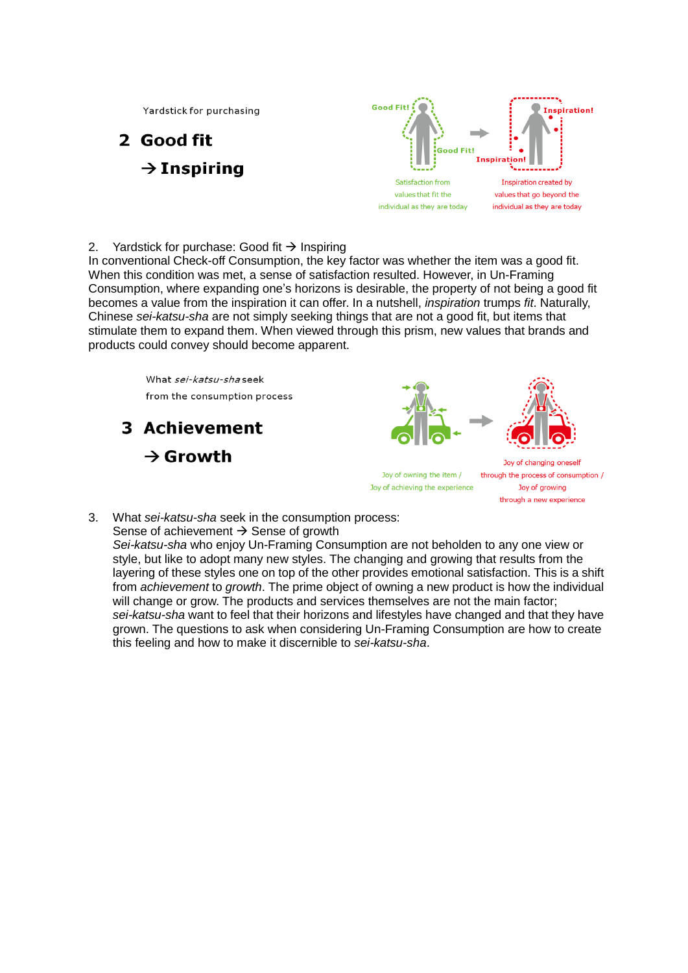Yardstick for purchasing

# 2 Good fit  $\rightarrow$  Inspiring



2. Yardstick for purchase: Good fit  $\rightarrow$  Inspiring

In conventional Check-off Consumption, the key factor was whether the item was a good fit. When this condition was met, a sense of satisfaction resulted. However, in Un-Framing Consumption, where expanding one's horizons is desirable, the property of not being a good fit becomes a value from the inspiration it can offer. In a nutshell, *inspiration* trumps *fit*. Naturally, Chinese *sei-katsu-sha* are not simply seeking things that are not a good fit, but items that stimulate them to expand them. When viewed through this prism, new values that brands and products could convey should become apparent.

> What sei-katsu-shaseek from the consumption process

**3 Achievement**  $\rightarrow$  Growth





Joy of owning the item / Joy of achieving the experience

Joy of changing oneself through the process of consumption / Joy of growing through a new experience

3. What *sei-katsu-sha* seek in the consumption process: Sense of achievement  $\rightarrow$  Sense of growth

*Sei-katsu-sha* who enjoy Un-Framing Consumption are not beholden to any one view or style, but like to adopt many new styles. The changing and growing that results from the layering of these styles one on top of the other provides emotional satisfaction. This is a shift from *achievement* to *growth*. The prime object of owning a new product is how the individual will change or grow. The products and services themselves are not the main factor; *sei-katsu-sha* want to feel that their horizons and lifestyles have changed and that they have grown. The questions to ask when considering Un-Framing Consumption are how to create this feeling and how to make it discernible to *sei-katsu-sha*.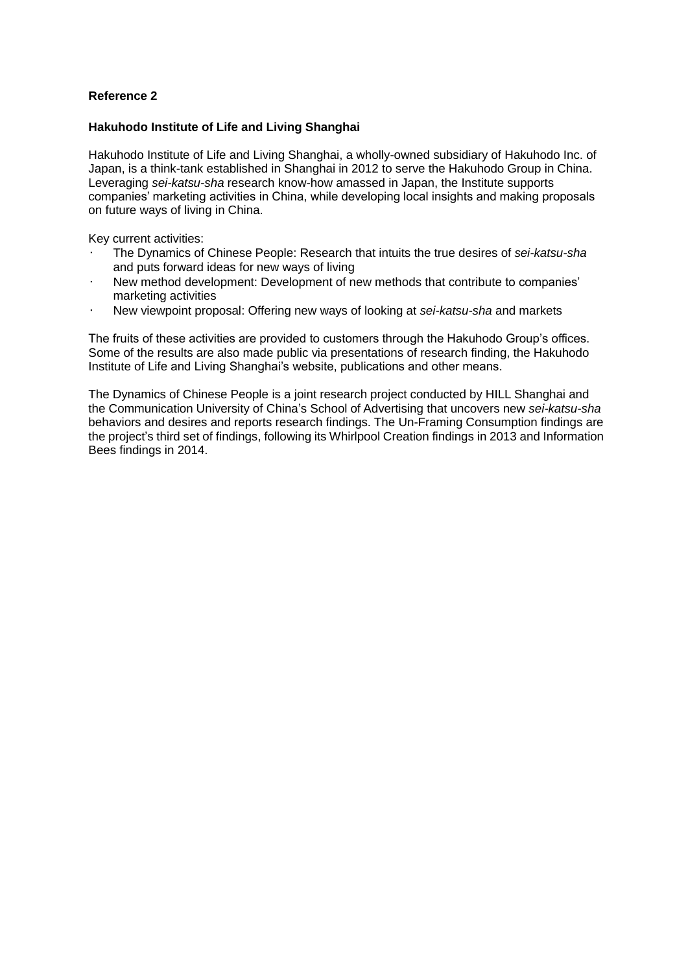# **Reference 2**

### **Hakuhodo Institute of Life and Living Shanghai**

Hakuhodo Institute of Life and Living Shanghai, a wholly-owned subsidiary of Hakuhodo Inc. of Japan, is a think-tank established in Shanghai in 2012 to serve the Hakuhodo Group in China. Leveraging *sei-katsu-sha* research know-how amassed in Japan, the Institute supports companies' marketing activities in China, while developing local insights and making proposals on future ways of living in China.

Key current activities:

- ・ The Dynamics of Chinese People: Research that intuits the true desires of *sei-katsu-sha*  and puts forward ideas for new ways of living
- New method development: Development of new methods that contribute to companies' marketing activities
- ・ New viewpoint proposal: Offering new ways of looking at *sei-katsu-sha* and markets

The fruits of these activities are provided to customers through the Hakuhodo Group's offices. Some of the results are also made public via presentations of research finding, the Hakuhodo Institute of Life and Living Shanghai's website, publications and other means.

The Dynamics of Chinese People is a joint research project conducted by HILL Shanghai and the Communication University of China's School of Advertising that uncovers new *sei-katsu-sha*  behaviors and desires and reports research findings. The Un-Framing Consumption findings are the project's third set of findings, following its Whirlpool Creation findings in 2013 and Information Bees findings in 2014.